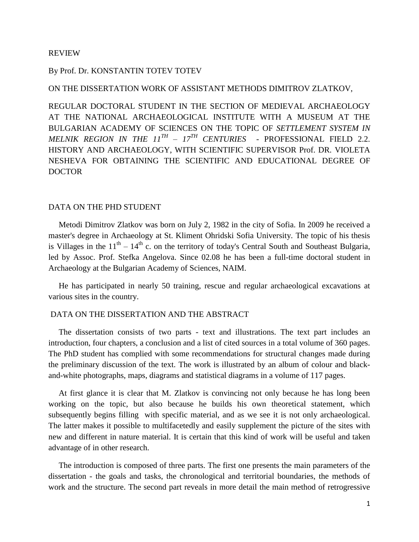#### REVIEW

# By Prof. Dr. KONSTANTIN TOTEV TOTEV

#### ON THE DISSERTATION WORK OF ASSISTANT METHODS DIMITROV ZLATKOV,

REGULAR DOCTORAL STUDENT IN THE SECTION OF MEDIEVAL ARCHAEOLOGY AT THE NATIONAL ARCHAEOLOGICAL INSTITUTE WITH A MUSEUM AT THE BULGARIAN ACADEMY OF SCIENCES ON THE TOPIC OF *SETTLEMENT SYSTEM IN MELNIK REGION IN THE 11TH – 17TH CENTURIES* - PROFESSIONAL FIELD 2.2. HISTORY AND ARCHAEOLOGY, WITH SCIENTIFIC SUPERVISOR Prof. DR. VIOLETA NESHEVA FOR OBTAINING THE SCIENTIFIC AND EDUCATIONAL DEGREE OF DOCTOR

# DATA ON THE PHD STUDENT

 Metodi Dimitrov Zlatkov was born on July 2, 1982 in the city of Sofia. In 2009 he received a master's degree in Archaeology at St. Kliment Ohridski Sofia University. The topic of his thesis is Villages in the  $11<sup>th</sup> - 14<sup>th</sup>$  c. on the territory of today's Central South and Southeast Bulgaria, led by Assoc. Prof. Stefka Angelova. Since 02.08 he has been a full-time doctoral student in Archaeology at the Bulgarian Academy of Sciences, NAIM.

 He has participated in nearly 50 training, rescue and regular archaeological excavations at various sites in the country.

## DATA ON THE DISSERTATION AND THE ABSTRACT

 The dissertation consists of two parts - text and illustrations. The text part includes an introduction, four chapters, a conclusion and a list of cited sources in a total volume of 360 pages. The PhD student has complied with some recommendations for structural changes made during the preliminary discussion of the text. The work is illustrated by an album of colour and blackand-white photographs, maps, diagrams and statistical diagrams in a volume of 117 pages.

 At first glance it is clear that M. Zlatkov is convincing not only because he has long been working on the topic, but also because he builds his own theoretical statement, which subsequently begins filling with specific material, and as we see it is not only archaeological. The latter makes it possible to multifacetedly and easily supplement the picture of the sites with new and different in nature material. It is certain that this kind of work will be useful and taken advantage of in other research.

 The introduction is composed of three parts. The first one presents the main parameters of the dissertation - the goals and tasks, the chronological and territorial boundaries, the methods of work and the structure. The second part reveals in more detail the main method of retrogressive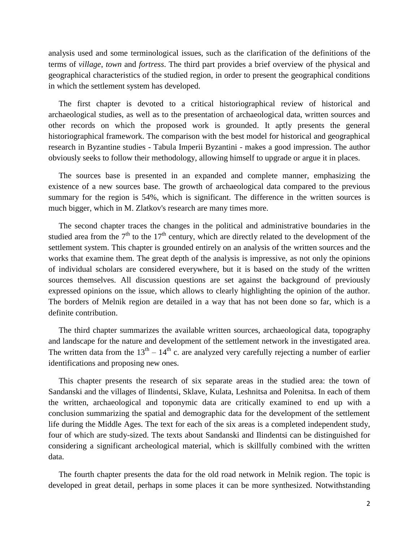analysis used and some terminological issues, such as the clarification of the definitions of the terms of *village*, *town* and *fortress*. The third part provides a brief overview of the physical and geographical characteristics of the studied region, in order to present the geographical conditions in which the settlement system has developed.

 The first chapter is devoted to a critical historiographical review of historical and archaeological studies, as well as to the presentation of archaeological data, written sources and other records on which the proposed work is grounded. It aptly presents the general historiographical framework. The comparison with the best model for historical and geographical research in Byzantine studies - Tabula Imperii Byzantini - makes a good impression. The author obviously seeks to follow their methodology, allowing himself to upgrade or argue it in places.

 The sources base is presented in an expanded and complete manner, emphasizing the existence of a new sources base. The growth of archaeological data compared to the previous summary for the region is 54%, which is significant. The difference in the written sources is much bigger, which in M. Zlatkov's research are many times more.

 The second chapter traces the changes in the political and administrative boundaries in the studied area from the  $7<sup>th</sup>$  to the 17<sup>th</sup> century, which are directly related to the development of the settlement system. This chapter is grounded entirely on an analysis of the written sources and the works that examine them. The great depth of the analysis is impressive, as not only the opinions of individual scholars are considered everywhere, but it is based on the study of the written sources themselves. All discussion questions are set against the background of previously expressed opinions on the issue, which allows to clearly highlighting the opinion of the author. The borders of Melnik region are detailed in a way that has not been done so far, which is a definite contribution.

 The third chapter summarizes the available written sources, archaeological data, topography and landscape for the nature and development of the settlement network in the investigated area. The written data from the  $13<sup>th</sup> - 14<sup>th</sup>$  c. are analyzed very carefully rejecting a number of earlier identifications and proposing new ones.

 This chapter presents the research of six separate areas in the studied area: the town of Sandanski and the villages of Ilindentsi, Sklave, Kulata, Leshnitsa and Polenitsa. In each of them the written, archaeological and toponymic data are critically examined to end up with a conclusion summarizing the spatial and demographic data for the development of the settlement life during the Middle Ages. The text for each of the six areas is a completed independent study, four of which are study-sized. The texts about Sandanski and Ilindentsi can be distinguished for considering a significant archeological material, which is skillfully combined with the written data.

 The fourth chapter presents the data for the old road network in Melnik region. The topic is developed in great detail, perhaps in some places it can be more synthesized. Notwithstanding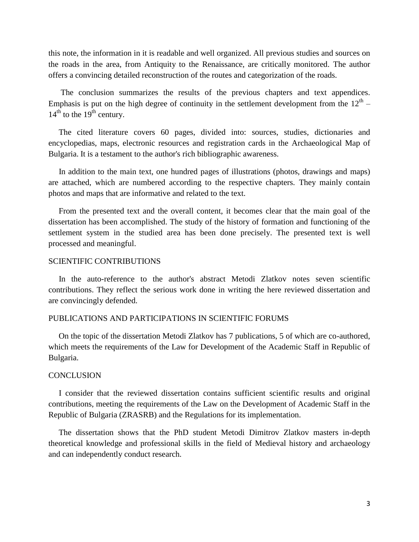this note, the information in it is readable and well organized. All previous studies and sources on the roads in the area, from Antiquity to the Renaissance, are critically monitored. The author offers a convincing detailed reconstruction of the routes and categorization of the roads.

 The conclusion summarizes the results of the previous chapters and text appendices. Emphasis is put on the high degree of continuity in the settlement development from the  $12<sup>th</sup>$  –  $14<sup>th</sup>$  to the  $19<sup>th</sup>$  century.

 The cited literature covers 60 pages, divided into: sources, studies, dictionaries and encyclopedias, maps, electronic resources and registration cards in the Archaeological Map of Bulgaria. It is a testament to the author's rich bibliographic awareness.

 In addition to the main text, one hundred pages of illustrations (photos, drawings and maps) are attached, which are numbered according to the respective chapters. They mainly contain photos and maps that are informative and related to the text.

 From the presented text and the overall content, it becomes clear that the main goal of the dissertation has been accomplished. The study of the history of formation and functioning of the settlement system in the studied area has been done precisely. The presented text is well processed and meaningful.

# SCIENTIFIC CONTRIBUTIONS

 In the auto-reference to the author's abstract Metodi Zlatkov notes seven scientific contributions. They reflect the serious work done in writing the here reviewed dissertation and are convincingly defended.

## PUBLICATIONS AND PARTICIPATIONS IN SCIENTIFIC FORUMS

 On the topic of the dissertation Metodi Zlatkov has 7 publications, 5 of which are co-authored, which meets the requirements of the Law for Development of the Academic Staff in Republic of Bulgaria.

## **CONCLUSION**

 I consider that the reviewed dissertation contains sufficient scientific results and original contributions, meeting the requirements of the Law on the Development of Academic Staff in the Republic of Bulgaria (ZRASRB) and the Regulations for its implementation.

 The dissertation shows that the PhD student Metodi Dimitrov Zlatkov masters in-depth theoretical knowledge and professional skills in the field of Medieval history and archaeology and can independently conduct research.